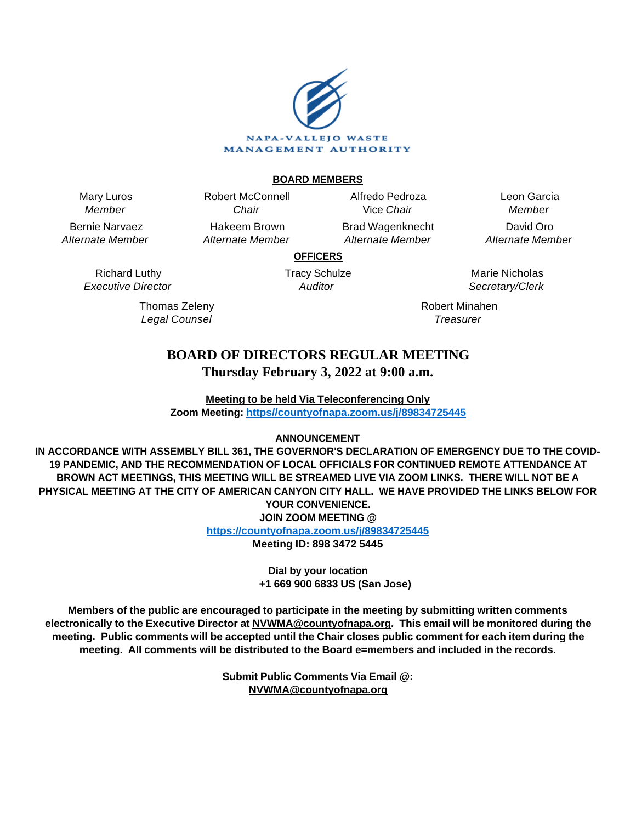

## **BOARD MEMBERS**

Mary Luros Member

Bernie Narvaez Alternate Member

> Richard Luthy Executive Director

> > Thomas Zeleny Legal Counsel

Chair Hakeem Brown Alternate Member

Robert McConnell

Alfredo Pedroza Vice Chair Brad Wagenknecht

Alternate Member

Leon Garcia Member David Oro Alternate Member

**OFFICERS**

Tracy Schulze **Auditor** 

Marie Nicholas Secretary/Clerk

Robert Minahen **Treasurer** 

# **BOARD OF DIRECTORS REGULAR MEETING Thursday February 3, 2022 at 9:00 a.m.**

**Meeting to be held Via Teleconferencing Only Zoom Meeting: [https//countyofnapa.zoom.us/j/89834725445](http://intranetprod01/AgendaNet/Reports/https//countyofnapa.zoom.us/j/99111938225)**

# **ANNOUNCEMENT**

**IN ACCORDANCE WITH ASSEMBLY BILL 361, THE GOVERNOR'S DECLARATION OF EMERGENCY DUE TO THE COVID-19 PANDEMIC, AND THE RECOMMENDATION OF LOCAL OFFICIALS FOR CONTINUED REMOTE ATTENDANCE AT BROWN ACT MEETINGS, THIS MEETING WILL BE STREAMED LIVE VIA ZOOM LINKS. THERE WILL NOT BE A PHYSICAL MEETING AT THE CITY OF AMERICAN CANYON CITY HALL. WE HAVE PROVIDED THE LINKS BELOW FOR YOUR CONVENIENCE. JOIN ZOOM MEETING @**

**<https://countyofnapa.zoom.us/j/89834725445>**

**Meeting ID: 898 3472 5445**

**Dial by your location +1 669 900 6833 US (San Jose)**

**Members of the public are encouraged to participate in the meeting by submitting written comments electronically to the Executive Director at NVWMA@countyofnapa.org. This email will be monitored during the meeting. Public comments will be accepted until the Chair closes public comment for each item during the meeting. All comments will be distributed to the Board e=members and included in the records.**

> **Submit Public Comments Via Email @: NVWMA@countyofnapa.org**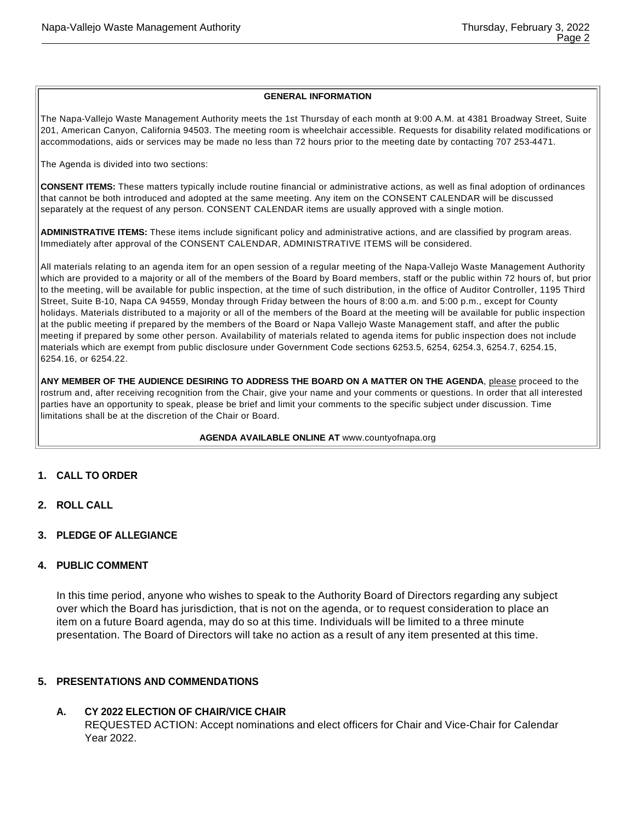#### **GENERAL INFORMATION**

The Napa-Vallejo Waste Management Authority meets the 1st Thursday of each month at 9:00 A.M. at 4381 Broadway Street, Suite 201, American Canyon, California 94503. The meeting room is wheelchair accessible. Requests for disability related modifications or accommodations, aids or services may be made no less than 72 hours prior to the meeting date by contacting 707 253-4471.

The Agenda is divided into two sections:

**CONSENT ITEMS:** These matters typically include routine financial or administrative actions, as well as final adoption of ordinances that cannot be both introduced and adopted at the same meeting. Any item on the CONSENT CALENDAR will be discussed separately at the request of any person. CONSENT CALENDAR items are usually approved with a single motion.

**ADMINISTRATIVE ITEMS:** These items include significant policy and administrative actions, and are classified by program areas. Immediately after approval of the CONSENT CALENDAR, ADMINISTRATIVE ITEMS will be considered.

All materials relating to an agenda item for an open session of a regular meeting of the Napa-Vallejo Waste Management Authority which are provided to a majority or all of the members of the Board by Board members, staff or the public within 72 hours of, but prior to the meeting, will be available for public inspection, at the time of such distribution, in the office of Auditor Controller, 1195 Third Street, Suite B-10, Napa CA 94559, Monday through Friday between the hours of 8:00 a.m. and 5:00 p.m., except for County holidays. Materials distributed to a majority or all of the members of the Board at the meeting will be available for public inspection at the public meeting if prepared by the members of the Board or Napa Vallejo Waste Management staff, and after the public meeting if prepared by some other person. Availability of materials related to agenda items for public inspection does not include materials which are exempt from public disclosure under Government Code sections 6253.5, 6254, 6254.3, 6254.7, 6254.15, 6254.16, or 6254.22.

**ANY MEMBER OF THE AUDIENCE DESIRING TO ADDRESS THE BOARD ON A MATTER ON THE AGENDA**, please proceed to the rostrum and, after receiving recognition from the Chair, give your name and your comments or questions. In order that all interested parties have an opportunity to speak, please be brief and limit your comments to the specific subject under discussion. Time limitations shall be at the discretion of the Chair or Board.

**AGENDA AVAILABLE ONLINE AT** www.countyofnapa.org

#### **1. CALL TO ORDER**

- **2. ROLL CALL**
- **3. PLEDGE OF ALLEGIANCE**

## **4. PUBLIC COMMENT**

In this time period, anyone who wishes to speak to the Authority Board of Directors regarding any subject over which the Board has jurisdiction, that is not on the agenda, or to request consideration to place an item on a future Board agenda, may do so at this time. Individuals will be limited to a three minute presentation. The Board of Directors will take no action as a result of any item presented at this time.

#### **5. PRESENTATIONS AND COMMENDATIONS**

#### **A. CY 2022 ELECTION OF CHAIR/VICE CHAIR**

REQUESTED ACTION: Accept nominations and elect officers for Chair and Vice-Chair for Calendar Year 2022.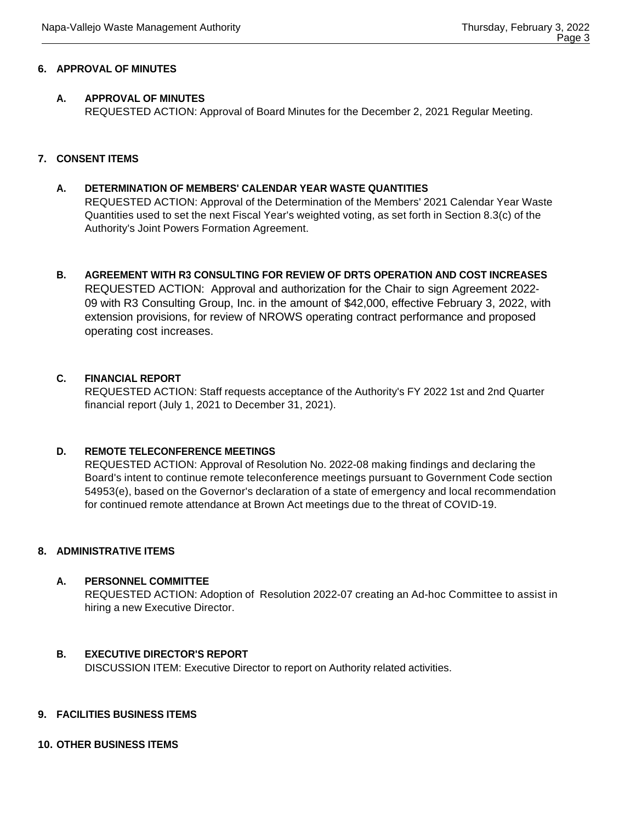#### **6. APPROVAL OF MINUTES**

## **A. APPROVAL OF MINUTES**

REQUESTED ACTION: Approval of Board Minutes for the December 2, 2021 Regular Meeting.

## **7. CONSENT ITEMS**

# **A. DETERMINATION OF MEMBERS' CALENDAR YEAR WASTE QUANTITIES**  REQUESTED ACTION: Approval of the Determination of the Members' 2021 Calendar Year Waste Quantities used to set the next Fiscal Year's weighted voting, as set forth in Section 8.3(c) of the Authority's Joint Powers Formation Agreement.

**B. AGREEMENT WITH R3 CONSULTING FOR REVIEW OF DRTS OPERATION AND COST INCREASES** REQUESTED ACTION: Approval and authorization for the Chair to sign Agreement 2022- 09 with R3 Consulting Group, Inc. in the amount of \$42,000, effective February 3, 2022, with extension provisions, for review of NROWS operating contract performance and proposed operating cost increases.

## **C. FINANCIAL REPORT**

REQUESTED ACTION: Staff requests acceptance of the Authority's FY 2022 1st and 2nd Quarter financial report (July 1, 2021 to December 31, 2021).

# **D. REMOTE TELECONFERENCE MEETINGS**

REQUESTED ACTION: Approval of Resolution No. 2022-08 making findings and declaring the Board's intent to continue remote teleconference meetings pursuant to Government Code section 54953(e), based on the Governor's declaration of a state of emergency and local recommendation for continued remote attendance at Brown Act meetings due to the threat of COVID-19.

#### **8. ADMINISTRATIVE ITEMS**

# **A. PERSONNEL COMMITTEE**

REQUESTED ACTION: Adoption of Resolution 2022-07 creating an Ad-hoc Committee to assist in hiring a new Executive Director.

#### **B. EXECUTIVE DIRECTOR'S REPORT**

DISCUSSION ITEM: Executive Director to report on Authority related activities.

#### **9. FACILITIES BUSINESS ITEMS**

# **10. OTHER BUSINESS ITEMS**